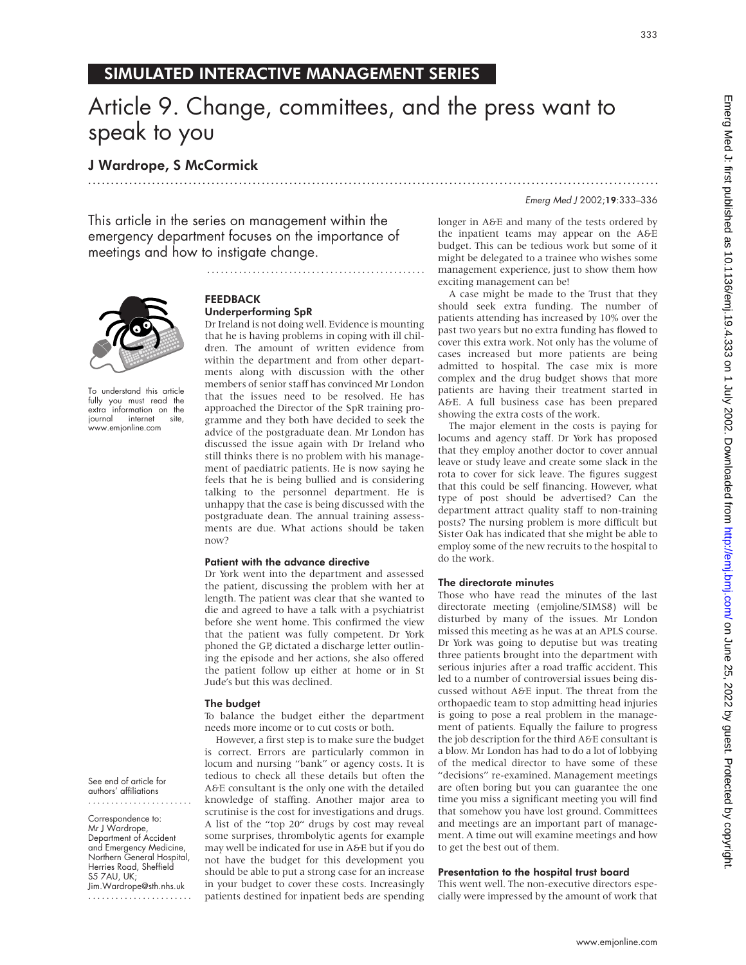# SIMULATED INTERACTIVE MANAGEMENT SERIES

# Article 9. Change, committees, and the press want to speak to you

.............................................................................................................................

# J Wardrope, S McCormick

This article in the series on management within the emergency department focuses on the importance of meetings and how to instigate change.



To understand this article fully you must read the extra information on the journal internet site, www.emjonline.com

See end of article for authors' affiliations .......................

Correspondence to: Mr J Wardrope, Department of Accident and Emergency Medicine, Northern General Hospital, Herries Road, Sheffield S5 7AU, UK; Jim.Wardrope@sth.nhs.uk .......................

### FEEDBACK Underperforming SpR

Dr Ireland is not doing well. Evidence is mounting that he is having problems in coping with ill children. The amount of written evidence from within the department and from other departments along with discussion with the other members of senior staff has convinced Mr London that the issues need to be resolved. He has approached the Director of the SpR training programme and they both have decided to seek the advice of the postgraduate dean. Mr London has discussed the issue again with Dr Ireland who still thinks there is no problem with his management of paediatric patients. He is now saying he feels that he is being bullied and is considering talking to the personnel department. He is unhappy that the case is being discussed with the postgraduate dean. The annual training assessments are due. What actions should be taken now?

................................................

#### Patient with the advance directive

Dr York went into the department and assessed the patient, discussing the problem with her at length. The patient was clear that she wanted to die and agreed to have a talk with a psychiatrist before she went home. This confirmed the view that the patient was fully competent. Dr York phoned the GP, dictated a discharge letter outlining the episode and her actions, she also offered the patient follow up either at home or in St Jude's but this was declined.

#### The budget

To balance the budget either the department needs more income or to cut costs or both.

However, a first step is to make sure the budget is correct. Errors are particularly common in locum and nursing "bank" or agency costs. It is tedious to check all these details but often the A&E consultant is the only one with the detailed knowledge of staffing. Another major area to scrutinise is the cost for investigations and drugs. A list of the "top 20" drugs by cost may reveal some surprises, thrombolytic agents for example may well be indicated for use in A&E but if you do not have the budget for this development you should be able to put a strong case for an increase in your budget to cover these costs. Increasingly patients destined for inpatient beds are spending

#### Emerg Med J 2002;19:333–336

longer in A&E and many of the tests ordered by the inpatient teams may appear on the A&E budget. This can be tedious work but some of it might be delegated to a trainee who wishes some management experience, just to show them how exciting management can be!

A case might be made to the Trust that they should seek extra funding. The number of patients attending has increased by 10% over the past two years but no extra funding has flowed to cover this extra work. Not only has the volume of cases increased but more patients are being admitted to hospital. The case mix is more complex and the drug budget shows that more patients are having their treatment started in A&E. A full business case has been prepared showing the extra costs of the work.

The major element in the costs is paying for locums and agency staff. Dr York has proposed that they employ another doctor to cover annual leave or study leave and create some slack in the rota to cover for sick leave. The figures suggest that this could be self financing. However, what type of post should be advertised? Can the department attract quality staff to non-training posts? The nursing problem is more difficult but Sister Oak has indicated that she might be able to employ some of the new recruits to the hospital to do the work.

#### The directorate minutes

Those who have read the minutes of the last directorate meeting (emjoline/SIMS8) will be disturbed by many of the issues. Mr London missed this meeting as he was at an APLS course. Dr York was going to deputise but was treating three patients brought into the department with serious injuries after a road traffic accident. This led to a number of controversial issues being discussed without A&E input. The threat from the orthopaedic team to stop admitting head injuries is going to pose a real problem in the management of patients. Equally the failure to progress the job description for the third A&E consultant is a blow. Mr London has had to do a lot of lobbying of the medical director to have some of these "decisions" re-examined. Management meetings are often boring but you can guarantee the one time you miss a significant meeting you will find that somehow you have lost ground. Committees and meetings are an important part of management. A time out will examine meetings and how to get the best out of them.

#### Presentation to the hospital trust board

This went well. The non-executive directors especially were impressed by the amount of work that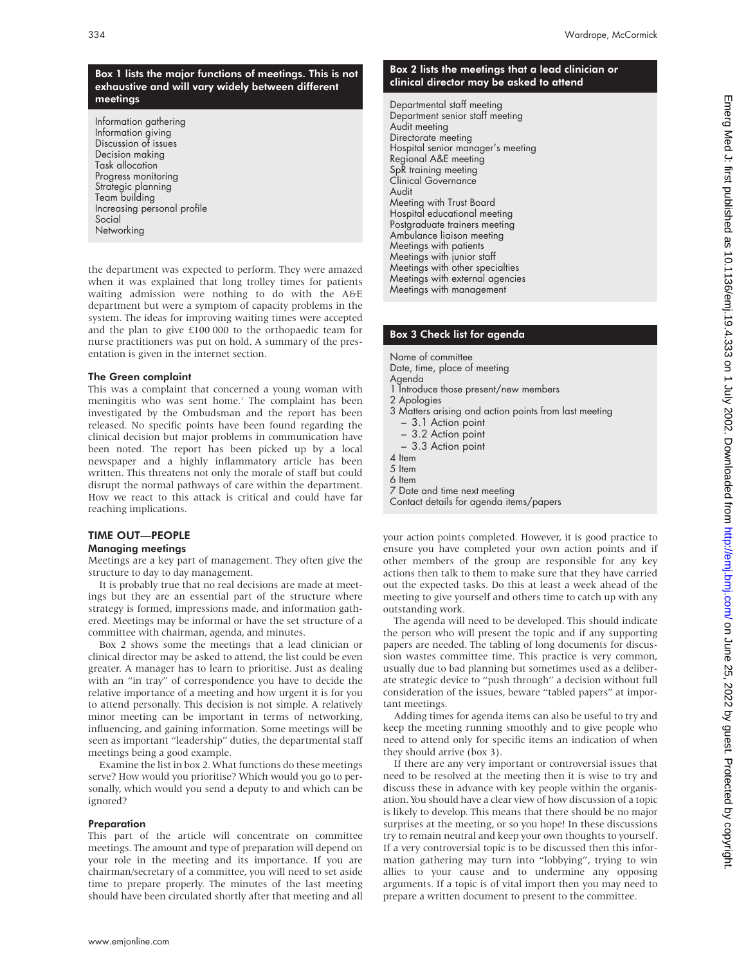# Box 1 lists the major functions of meetings. This is not exhaustive and will vary widely between different meetings

Information gathering Information giving Discussion of issues Decision making Task allocation Progress monitoring Strategic planning Team building Increasing personal profile Social **Networking** 

the department was expected to perform. They were amazed when it was explained that long trolley times for patients waiting admission were nothing to do with the A&E department but were a symptom of capacity problems in the system. The ideas for improving waiting times were accepted and the plan to give £100 000 to the orthopaedic team for nurse practitioners was put on hold. A summary of the presentation is given in the internet section.

#### The Green complaint

This was a complaint that concerned a young woman with meningitis who was sent home.<sup>1</sup> The complaint has been investigated by the Ombudsman and the report has been released. No specific points have been found regarding the clinical decision but major problems in communication have been noted. The report has been picked up by a local newspaper and a highly inflammatory article has been written. This threatens not only the morale of staff but could disrupt the normal pathways of care within the department. How we react to this attack is critical and could have far reaching implications.

# TIME OUT—PEOPLE

Managing meetings

Meetings are a key part of management. They often give the structure to day to day management.

It is probably true that no real decisions are made at meetings but they are an essential part of the structure where strategy is formed, impressions made, and information gathered. Meetings may be informal or have the set structure of a committee with chairman, agenda, and minutes.

Box 2 shows some the meetings that a lead clinician or clinical director may be asked to attend, the list could be even greater. A manager has to learn to prioritise. Just as dealing with an "in tray" of correspondence you have to decide the relative importance of a meeting and how urgent it is for you to attend personally. This decision is not simple. A relatively minor meeting can be important in terms of networking, influencing, and gaining information. Some meetings will be seen as important "leadership" duties, the departmental staff meetings being a good example.

Examine the list in box 2. What functions do these meetings serve? How would you prioritise? Which would you go to personally, which would you send a deputy to and which can be ignored?

#### Preparation

This part of the article will concentrate on committee meetings. The amount and type of preparation will depend on your role in the meeting and its importance. If you are chairman/secretary of a committee, you will need to set aside time to prepare properly. The minutes of the last meeting should have been circulated shortly after that meeting and all

# Box 2 lists the meetings that a lead clinician or clinical director may be asked to attend

Departmental staff meeting Department senior staff meeting Audit meeting Directorate meeting Hospital senior manager's meeting Regional A&E meeting SpR training meeting Clinical Governance Audit Meeting with Trust Board Hospital educational meeting Postgraduate trainers meeting Ambulance liaison meeting Meetings with patients Meetings with junior staff Meetings with other specialties Meetings with external agencies Meetings with management

# Box 3 Check list for agenda

Name of committee

Date, time, place of meeting Agenda

- 1 Introduce those present/new members
- 2 Apologies
- 3 Matters arising and action points from last meeting
	- 3.1 Action point
	- 3.2 Action point
	- 3.3 Action point
- 4 Item 5 Item
- 6 Item
- 
- 7 Date and time next meeting Contact details for agenda items/papers

your action points completed. However, it is good practice to ensure you have completed your own action points and if other members of the group are responsible for any key actions then talk to them to make sure that they have carried out the expected tasks. Do this at least a week ahead of the meeting to give yourself and others time to catch up with any outstanding work.

The agenda will need to be developed. This should indicate the person who will present the topic and if any supporting papers are needed. The tabling of long documents for discussion wastes committee time. This practice is very common, usually due to bad planning but sometimes used as a deliberate strategic device to "push through" a decision without full consideration of the issues, beware "tabled papers" at important meetings.

Adding times for agenda items can also be useful to try and keep the meeting running smoothly and to give people who need to attend only for specific items an indication of when they should arrive (box 3).

If there are any very important or controversial issues that need to be resolved at the meeting then it is wise to try and discuss these in advance with key people within the organisation. You should have a clear view of how discussion of a topic is likely to develop. This means that there should be no major surprises at the meeting, or so you hope! In these discussions try to remain neutral and keep your own thoughts to yourself. If a very controversial topic is to be discussed then this information gathering may turn into "lobbying", trying to win allies to your cause and to undermine any opposing arguments. If a topic is of vital import then you may need to prepare a written document to present to the committee.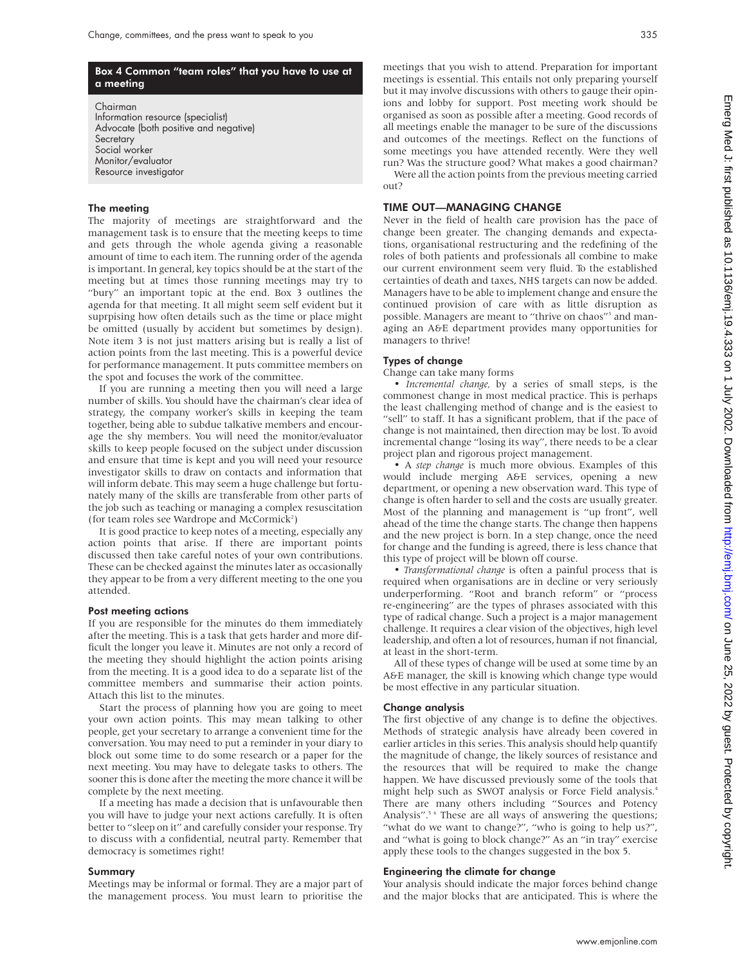#### Box 4 Common "team roles" that you have to use at a meeting

Chairman Information resource (specialist) Advocate (both positive and negative) **Secretary** Social worker Monitor/evaluator Resource investigator

#### The meeting

The majority of meetings are straightforward and the management task is to ensure that the meeting keeps to time and gets through the whole agenda giving a reasonable amount of time to each item. The running order of the agenda is important. In general, key topics should be at the start of the meeting but at times those running meetings may try to "bury" an important topic at the end. Box 3 outlines the agenda for that meeting. It all might seem self evident but it suprpising how often details such as the time or place might be omitted (usually by accident but sometimes by design). Note item 3 is not just matters arising but is really a list of action points from the last meeting. This is a powerful device for performance management. It puts committee members on the spot and focuses the work of the committee.

If you are running a meeting then you will need a large number of skills. You should have the chairman's clear idea of strategy, the company worker's skills in keeping the team together, being able to subdue talkative members and encourage the shy members. You will need the monitor/evaluator skills to keep people focused on the subject under discussion and ensure that time is kept and you will need your resource investigator skills to draw on contacts and information that will inform debate. This may seem a huge challenge but fortunately many of the skills are transferable from other parts of the job such as teaching or managing a complex resuscitation (for team roles see Wardrope and McCormick<sup>2</sup>)

It is good practice to keep notes of a meeting, especially any action points that arise. If there are important points discussed then take careful notes of your own contributions. These can be checked against the minutes later as occasionally they appear to be from a very different meeting to the one you attended.

#### Post meeting actions

If you are responsible for the minutes do them immediately after the meeting. This is a task that gets harder and more difficult the longer you leave it. Minutes are not only a record of the meeting they should highlight the action points arising from the meeting. It is a good idea to do a separate list of the committee members and summarise their action points. Attach this list to the minutes.

Start the process of planning how you are going to meet your own action points. This may mean talking to other people, get your secretary to arrange a convenient time for the conversation. You may need to put a reminder in your diary to block out some time to do some research or a paper for the next meeting. You may have to delegate tasks to others. The sooner this is done after the meeting the more chance it will be complete by the next meeting.

If a meeting has made a decision that is unfavourable then you will have to judge your next actions carefully. It is often better to "sleep on it" and carefully consider your response. Try to discuss with a confidential, neutral party. Remember that democracy is sometimes right!

#### Summary

Meetings may be informal or formal. They are a major part of the management process. You must learn to prioritise the meetings that you wish to attend. Preparation for important meetings is essential. This entails not only preparing yourself but it may involve discussions with others to gauge their opinions and lobby for support. Post meeting work should be organised as soon as possible after a meeting. Good records of all meetings enable the manager to be sure of the discussions and outcomes of the meetings. Reflect on the functions of some meetings you have attended recently. Were they well run? Was the structure good? What makes a good chairman?

Were all the action points from the previous meeting carried out?

#### TIME OUT—MANAGING CHANGE

Never in the field of health care provision has the pace of change been greater. The changing demands and expectations, organisational restructuring and the redefining of the roles of both patients and professionals all combine to make our current environment seem very fluid. To the established certainties of death and taxes, NHS targets can now be added. Managers have to be able to implement change and ensure the continued provision of care with as little disruption as possible. Managers are meant to "thrive on chaos"<sup>3</sup> and managing an A&E department provides many opportunities for managers to thrive!

#### Types of change

Change can take many forms

• *Incremental change,* by a series of small steps, is the commonest change in most medical practice. This is perhaps the least challenging method of change and is the easiest to "sell" to staff. It has a significant problem, that if the pace of change is not maintained, then direction may be lost. To avoid incremental change "losing its way", there needs to be a clear project plan and rigorous project management.

• A *step change* is much more obvious. Examples of this would include merging A&E services, opening a new department, or opening a new observation ward. This type of change is often harder to sell and the costs are usually greater. Most of the planning and management is "up front", well ahead of the time the change starts. The change then happens and the new project is born. In a step change, once the need for change and the funding is agreed, there is less chance that this type of project will be blown off course.

• *Transformational change* is often a painful process that is required when organisations are in decline or very seriously underperforming. "Root and branch reform" or "process re-engineering" are the types of phrases associated with this type of radical change. Such a project is a major management challenge. It requires a clear vision of the objectives, high level leadership, and often a lot of resources, human if not financial, at least in the short-term.

All of these types of change will be used at some time by an A&E manager, the skill is knowing which change type would be most effective in any particular situation.

#### Change analysis

The first objective of any change is to define the objectives. Methods of strategic analysis have already been covered in earlier articles in this series. This analysis should help quantify the magnitude of change, the likely sources of resistance and the resources that will be required to make the change happen. We have discussed previously some of the tools that might help such as SWOT analysis or Force Field analysis.4 There are many others including "Sources and Potency Analysis".<sup>5 6</sup> These are all ways of answering the questions; "what do we want to change?", "who is going to help us?", and "what is going to block change?" As an "in tray" exercise apply these tools to the changes suggested in the box 5.

#### Engineering the climate for change

Your analysis should indicate the major forces behind change and the major blocks that are anticipated. This is where the